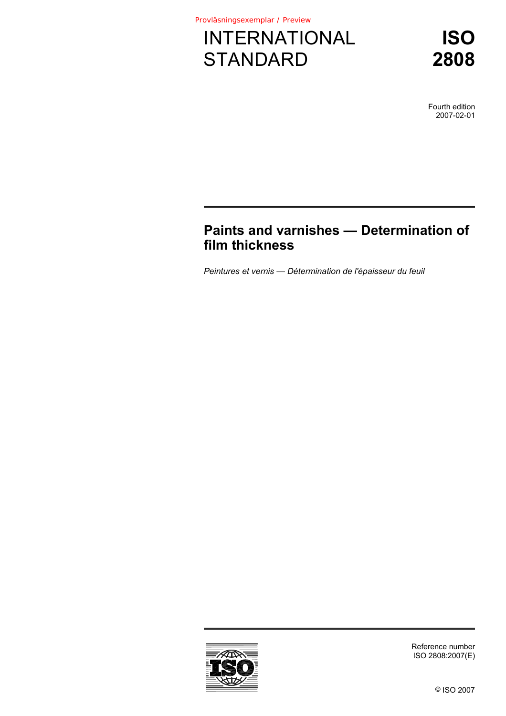

**ISO 2808**

Fourth edition 2007-02-01

# **Paints and varnishes — Determination of film thickness**

*Peintures et vernis — Détermination de l'épaisseur du feuil* 



Reference number ISO 2808:2007(E)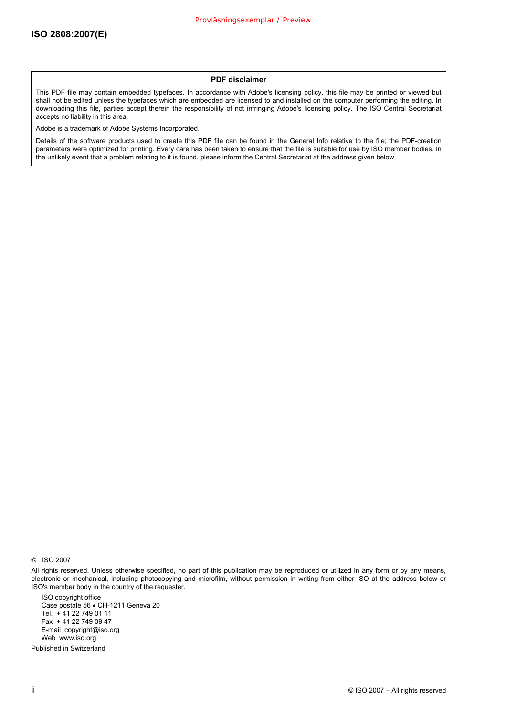#### **PDF disclaimer**

This PDF file may contain embedded typefaces. In accordance with Adobe's licensing policy, this file may be printed or viewed but shall not be edited unless the typefaces which are embedded are licensed to and installed on the computer performing the editing. In downloading this file, parties accept therein the responsibility of not infringing Adobe's licensing policy. The ISO Central Secretariat accepts no liability in this area.

Adobe is a trademark of Adobe Systems Incorporated.

Details of the software products used to create this PDF file can be found in the General Info relative to the file; the PDF-creation parameters were optimized for printing. Every care has been taken to ensure that the file is suitable for use by ISO member bodies. In the unlikely event that a problem relating to it is found, please inform the Central Secretariat at the address given below.

© ISO 2007

All rights reserved. Unless otherwise specified, no part of this publication may be reproduced or utilized in any form or by any means, electronic or mechanical, including photocopying and microfilm, without permission in writing from either ISO at the address below or ISO's member body in the country of the requester.

ISO copyright office Case postale 56 • CH-1211 Geneva 20 Tel. + 41 22 749 01 11 Fax + 41 22 749 09 47 E-mail copyright@iso.org Web www.iso.org

Published in Switzerland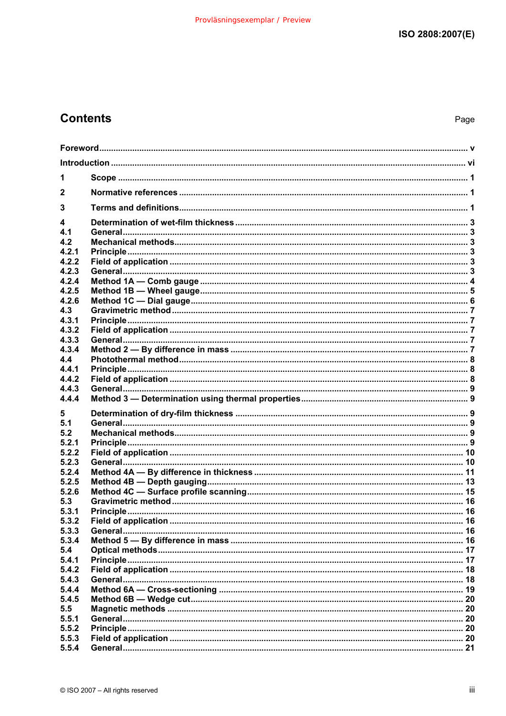# **Contents**

| 1              |  |  |  |  |
|----------------|--|--|--|--|
| $\mathbf{2}$   |  |  |  |  |
|                |  |  |  |  |
| 3              |  |  |  |  |
| 4              |  |  |  |  |
| 4.1<br>4.2     |  |  |  |  |
| 4.2.1          |  |  |  |  |
| 4.2.2          |  |  |  |  |
| 4.2.3          |  |  |  |  |
| 4.2.4          |  |  |  |  |
| 4.2.5          |  |  |  |  |
| 4.2.6          |  |  |  |  |
| 4.3            |  |  |  |  |
| 4.3.1          |  |  |  |  |
| 4.3.2          |  |  |  |  |
| 4.3.3<br>4.3.4 |  |  |  |  |
| 4.4            |  |  |  |  |
| 4.4.1          |  |  |  |  |
| 4.4.2          |  |  |  |  |
| 4.4.3          |  |  |  |  |
| 4.4.4          |  |  |  |  |
|                |  |  |  |  |
| 5<br>5.1       |  |  |  |  |
| 5.2            |  |  |  |  |
| 5.2.1          |  |  |  |  |
| 5.2.2          |  |  |  |  |
| 5.2.3          |  |  |  |  |
| 5.2.4          |  |  |  |  |
| 5.2.5          |  |  |  |  |
| 5.2.6          |  |  |  |  |
| 5.3            |  |  |  |  |
| 5.3.1          |  |  |  |  |
| 5.3.2          |  |  |  |  |
| 5.3.3          |  |  |  |  |
| 5.3.4          |  |  |  |  |
| 5.4            |  |  |  |  |
| 5.4.1<br>5.4.2 |  |  |  |  |
| 5.4.3          |  |  |  |  |
| 5.4.4          |  |  |  |  |
| 5.4.5          |  |  |  |  |
| 5.5            |  |  |  |  |
| 5.5.1          |  |  |  |  |
| 5.5.2          |  |  |  |  |
| 5.5.3          |  |  |  |  |
| 5.5.4          |  |  |  |  |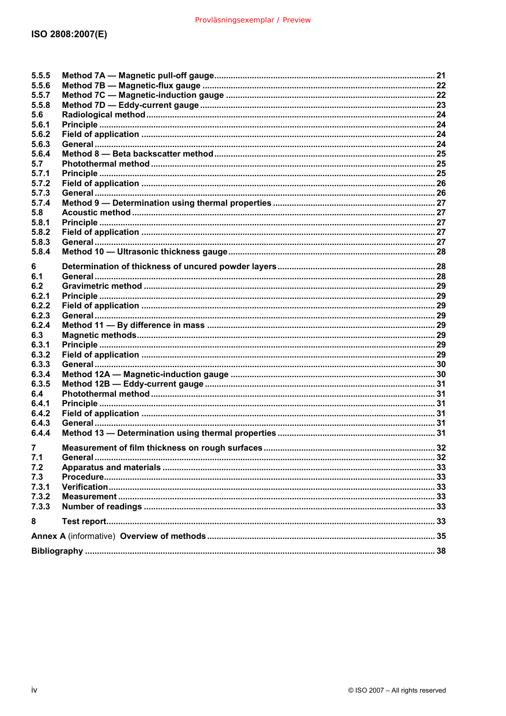| 5.5.5          |  |  |  |
|----------------|--|--|--|
| 5.5.6          |  |  |  |
| 5.5.7          |  |  |  |
| 5.5.8          |  |  |  |
| 5.6            |  |  |  |
| 5.6.1          |  |  |  |
| 5.6.2          |  |  |  |
| 5.6.3          |  |  |  |
| 5.6.4          |  |  |  |
| 5.7            |  |  |  |
| 5.7.1          |  |  |  |
| 5.7.2          |  |  |  |
| 5.7.3          |  |  |  |
| 5.7.4          |  |  |  |
| 5.8            |  |  |  |
| 5.8.1          |  |  |  |
| 5.8.2          |  |  |  |
| 5.8.3          |  |  |  |
| 5.8.4          |  |  |  |
|                |  |  |  |
| 6              |  |  |  |
| 6.1            |  |  |  |
| 6.2            |  |  |  |
| 6.2.1          |  |  |  |
| 6.2.2          |  |  |  |
| 6.2.3          |  |  |  |
| 6.2.4          |  |  |  |
| 6.3            |  |  |  |
| 6.3.1          |  |  |  |
| 6.3.2          |  |  |  |
| 6.3.3          |  |  |  |
| 6.3.4          |  |  |  |
| 6.3.5          |  |  |  |
| 6.4            |  |  |  |
| 6.4.1          |  |  |  |
| 6.4.2          |  |  |  |
|                |  |  |  |
| 6.4.3          |  |  |  |
| 6.4.4          |  |  |  |
| $\overline{7}$ |  |  |  |
| 7.1            |  |  |  |
| 7.2            |  |  |  |
| 7.3            |  |  |  |
| 7.3.1          |  |  |  |
| 7.3.2          |  |  |  |
| 7.3.3          |  |  |  |
|                |  |  |  |
| 8              |  |  |  |
|                |  |  |  |
|                |  |  |  |
|                |  |  |  |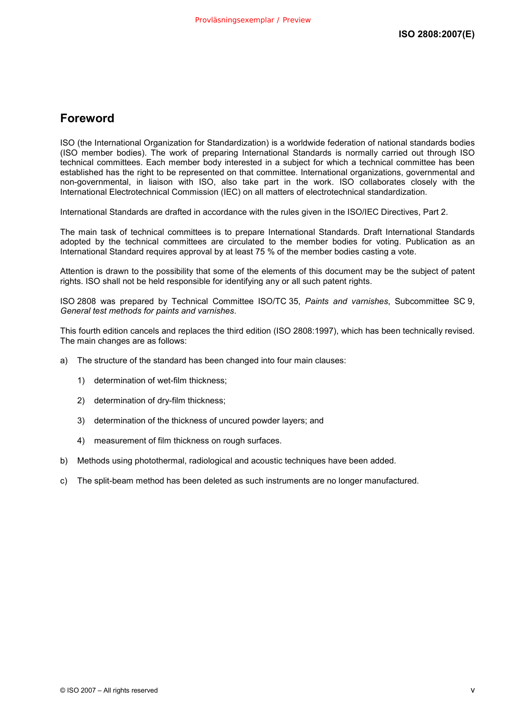## **Foreword**

ISO (the International Organization for Standardization) is a worldwide federation of national standards bodies (ISO member bodies). The work of preparing International Standards is normally carried out through ISO technical committees. Each member body interested in a subject for which a technical committee has been established has the right to be represented on that committee. International organizations, governmental and non-governmental, in liaison with ISO, also take part in the work. ISO collaborates closely with the International Electrotechnical Commission (IEC) on all matters of electrotechnical standardization.

International Standards are drafted in accordance with the rules given in the ISO/IEC Directives, Part 2.

The main task of technical committees is to prepare International Standards. Draft International Standards adopted by the technical committees are circulated to the member bodies for voting. Publication as an International Standard requires approval by at least 75 % of the member bodies casting a vote.

Attention is drawn to the possibility that some of the elements of this document may be the subject of patent rights. ISO shall not be held responsible for identifying any or all such patent rights.

ISO 2808 was prepared by Technical Committee ISO/TC 35, *Paints and varnishes*, Subcommittee SC 9, *General test methods for paints and varnishes*.

This fourth edition cancels and replaces the third edition (ISO 2808:1997), which has been technically revised. The main changes are as follows:

- a) The structure of the standard has been changed into four main clauses:
	- 1) determination of wet-film thickness;
	- 2) determination of dry-film thickness;
	- 3) determination of the thickness of uncured powder layers; and
	- 4) measurement of film thickness on rough surfaces.
- b) Methods using photothermal, radiological and acoustic techniques have been added.
- c) The split-beam method has been deleted as such instruments are no longer manufactured.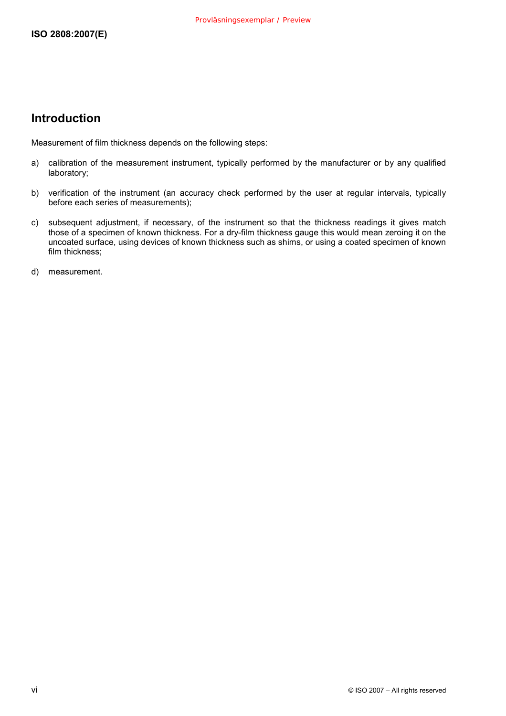## **Introduction**

Measurement of film thickness depends on the following steps:

- a) calibration of the measurement instrument, typically performed by the manufacturer or by any qualified laboratory;
- b) verification of the instrument (an accuracy check performed by the user at regular intervals, typically before each series of measurements);
- c) subsequent adjustment, if necessary, of the instrument so that the thickness readings it gives match those of a specimen of known thickness. For a dry-film thickness gauge this would mean zeroing it on the uncoated surface, using devices of known thickness such as shims, or using a coated specimen of known film thickness;
- d) measurement.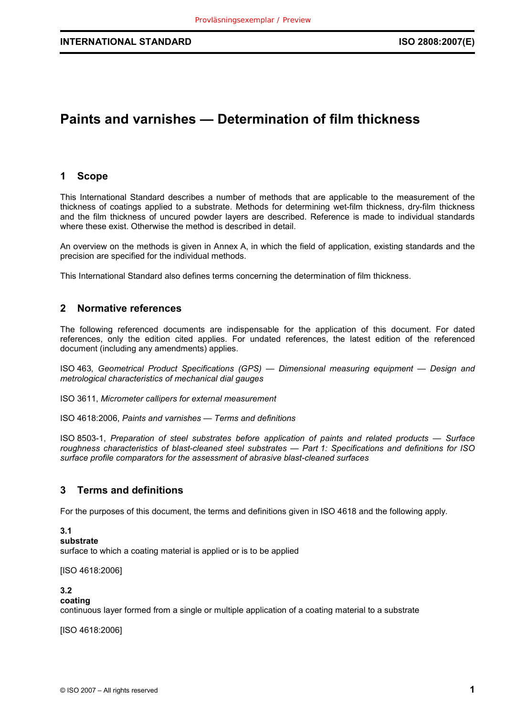# **Paints and varnishes — Determination of film thickness**

## **1 Scope**

This International Standard describes a number of methods that are applicable to the measurement of the thickness of coatings applied to a substrate. Methods for determining wet-film thickness, dry-film thickness and the film thickness of uncured powder layers are described. Reference is made to individual standards where these exist. Otherwise the method is described in detail.

An overview on the methods is given in Annex A, in which the field of application, existing standards and the precision are specified for the individual methods.

This International Standard also defines terms concerning the determination of film thickness.

## **2 Normative references**

The following referenced documents are indispensable for the application of this document. For dated references, only the edition cited applies. For undated references, the latest edition of the referenced document (including any amendments) applies.

ISO 463*, Geometrical Product Specifications (GPS) — Dimensional measuring equipment — Design and metrological characteristics of mechanical dial gauges*

ISO 3611, *Micrometer callipers for external measurement*

ISO 4618:2006, *Paints and varnishes — Terms and definitions*

ISO 8503-1, *Preparation of steel substrates before application of paints and related products — Surface roughness characteristics of blast-cleaned steel substrates — Part 1: Specifications and definitions for ISO surface profile comparators for the assessment of abrasive blast-cleaned surfaces*

## **3 Terms and definitions**

For the purposes of this document, the terms and definitions given in ISO 4618 and the following apply.

#### **3.1**

#### **substrate**

surface to which a coating material is applied or is to be applied

[ISO 4618:2006]

## **3.2**

## **coating**

continuous layer formed from a single or multiple application of a coating material to a substrate

[ISO 4618:2006]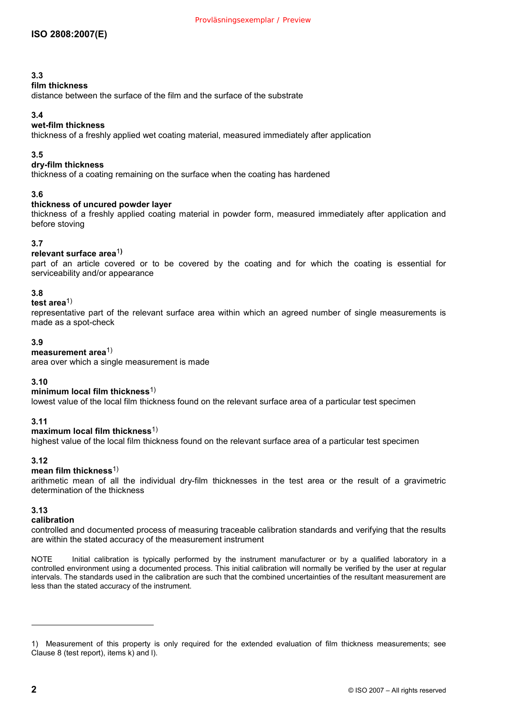## **3.3**

## **film thickness**

distance between the surface of the film and the surface of the substrate

## **3.4**

## **wet-film thickness**

thickness of a freshly applied wet coating material, measured immediately after application

## **3.5**

## **dry-film thickness**

thickness of a coating remaining on the surface when the coating has hardened

## **3.6**

## **thickness of uncured powder layer**

thickness of a freshly applied coating material in powder form, measured immediately after application and before stoving

## **3.7**

## **relevant surface area**1**)**

part of an article covered or to be covered by the coating and for which the coating is essential for serviceability and/or appearance

## **3.8**

## **test area**1)

representative part of the relevant surface area within which an agreed number of single measurements is made as a spot-check

## **3.9**

## **measurement area**1)

area over which a single measurement is made

## **3.10**

#### **minimum local film thickness**1)

lowest value of the local film thickness found on the relevant surface area of a particular test specimen

## **3.11**

#### **maximum local film thickness**1)

highest value of the local film thickness found on the relevant surface area of a particular test specimen

## **3.12**

#### **mean film thickness**1)

arithmetic mean of all the individual dry-film thicknesses in the test area or the result of a gravimetric determination of the thickness

## **3.13**

#### **calibration**

controlled and documented process of measuring traceable calibration standards and verifying that the results are within the stated accuracy of the measurement instrument

NOTE Initial calibration is typically performed by the instrument manufacturer or by a qualified laboratory in a controlled environment using a documented process. This initial calibration will normally be verified by the user at regular intervals. The standards used in the calibration are such that the combined uncertainties of the resultant measurement are less than the stated accuracy of the instrument.

l

<sup>1)</sup> Measurement of this property is only required for the extended evaluation of film thickness measurements; see Clause 8 (test report), items k) and l).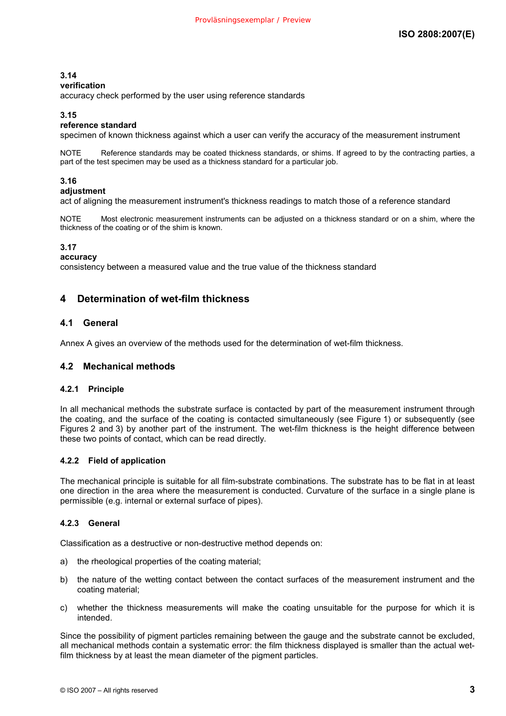## **3.14**

#### **verification**

accuracy check performed by the user using reference standards

## **3.15**

## **reference standard**

specimen of known thickness against which a user can verify the accuracy of the measurement instrument

Reference standards may be coated thickness standards, or shims. If agreed to by the contracting parties, a part of the test specimen may be used as a thickness standard for a particular job.

## **3.16**

## **adjustment**

act of aligning the measurement instrument's thickness readings to match those of a reference standard

NOTE Most electronic measurement instruments can be adjusted on a thickness standard or on a shim, where the thickness of the coating or of the shim is known.

#### **3.17**

**accuracy** 

consistency between a measured value and the true value of the thickness standard

## **4 Determination of wet-film thickness**

## **4.1 General**

Annex A gives an overview of the methods used for the determination of wet-film thickness.

## **4.2 Mechanical methods**

#### **4.2.1 Principle**

In all mechanical methods the substrate surface is contacted by part of the measurement instrument through the coating, and the surface of the coating is contacted simultaneously (see Figure 1) or subsequently (see Figures 2 and 3) by another part of the instrument. The wet-film thickness is the height difference between these two points of contact, which can be read directly.

#### **4.2.2 Field of application**

The mechanical principle is suitable for all film-substrate combinations. The substrate has to be flat in at least one direction in the area where the measurement is conducted. Curvature of the surface in a single plane is permissible (e.g. internal or external surface of pipes).

#### **4.2.3 General**

Classification as a destructive or non-destructive method depends on:

- a) the rheological properties of the coating material;
- b) the nature of the wetting contact between the contact surfaces of the measurement instrument and the coating material;
- c) whether the thickness measurements will make the coating unsuitable for the purpose for which it is intended.

Since the possibility of pigment particles remaining between the gauge and the substrate cannot be excluded, all mechanical methods contain a systematic error: the film thickness displayed is smaller than the actual wetfilm thickness by at least the mean diameter of the pigment particles.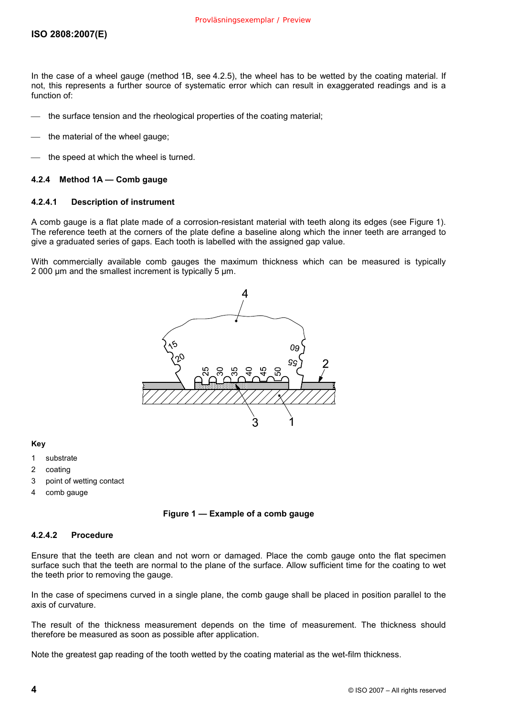In the case of a wheel gauge (method 1B, see 4.2.5), the wheel has to be wetted by the coating material. If not, this represents a further source of systematic error which can result in exaggerated readings and is a function of:

- the surface tension and the rheological properties of the coating material;
- the material of the wheel gauge;
- the speed at which the wheel is turned.

#### **4.2.4 Method 1A — Comb gauge**

#### **4.2.4.1 Description of instrument**

A comb gauge is a flat plate made of a corrosion-resistant material with teeth along its edges (see Figure 1). The reference teeth at the corners of the plate define a baseline along which the inner teeth are arranged to give a graduated series of gaps. Each tooth is labelled with the assigned gap value.

With commercially available comb gauges the maximum thickness which can be measured is typically 2 000 µm and the smallest increment is typically 5 µm.



#### **Key**

- 1 substrate
- 2 coating
- 3 point of wetting contact
- 4 comb gauge

#### **Figure 1 — Example of a comb gauge**

#### **4.2.4.2 Procedure**

Ensure that the teeth are clean and not worn or damaged. Place the comb gauge onto the flat specimen surface such that the teeth are normal to the plane of the surface. Allow sufficient time for the coating to wet the teeth prior to removing the gauge.

In the case of specimens curved in a single plane, the comb gauge shall be placed in position parallel to the axis of curvature.

The result of the thickness measurement depends on the time of measurement. The thickness should therefore be measured as soon as possible after application.

Note the greatest gap reading of the tooth wetted by the coating material as the wet-film thickness.